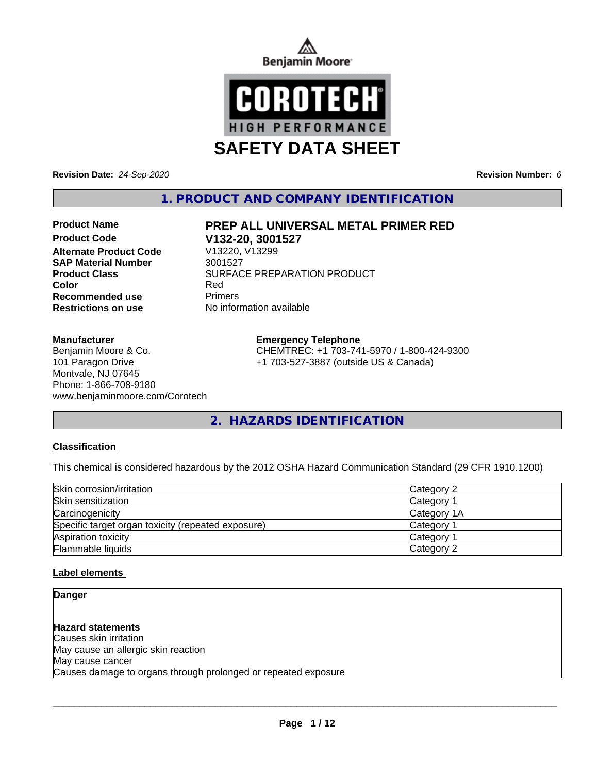



**Revision Date:** *24-Sep-2020* **Revision Number:** *6*

**1. PRODUCT AND COMPANY IDENTIFICATION**

**Product Code V132-20, 3001527 Alternate Product Code SAP Material Number** 3001527 **Recommended use** Primers

#### **Manufacturer**

Benjamin Moore & Co. 101 Paragon Drive Montvale, NJ 07645 Phone: 1-866-708-9180 www.benjaminmoore.com/Corotech

## **Product Name PREP ALL UNIVERSAL METAL PRIMER RED**

**Product Class** SURFACE PREPARATION PRODUCT<br>
Color **Color** Red **Restrictions on use** No information available

### **Emergency Telephone**

CHEMTREC: +1 703-741-5970 / 1-800-424-9300 +1 703-527-3887 (outside US & Canada)

**2. HAZARDS IDENTIFICATION**

### **Classification**

This chemical is considered hazardous by the 2012 OSHA Hazard Communication Standard (29 CFR 1910.1200)

| Skin corrosion/irritation                          | Category 2            |  |
|----------------------------------------------------|-----------------------|--|
| Skin sensitization                                 | <b>Category 1</b>     |  |
| Carcinogenicity                                    | Category 1A           |  |
| Specific target organ toxicity (repeated exposure) | Category <sup>2</sup> |  |
| Aspiration toxicity                                | Category              |  |
| Flammable liquids                                  | Category 2            |  |

### **Label elements**

**Danger**

**Hazard statements** Causes skin irritation May cause an allergic skin reaction May cause cancer Causes damage to organs through prolonged or repeated exposure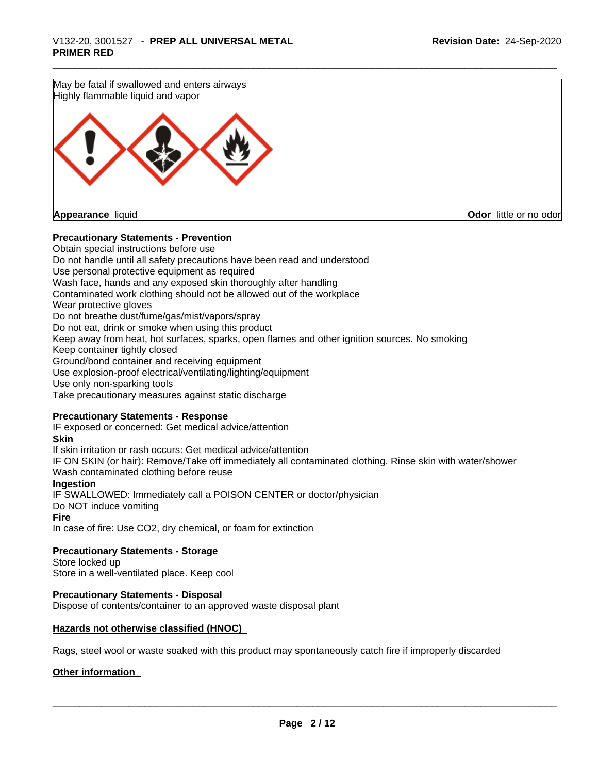May be fatal if swallowed and enters airways Highly flammable liquid and vapor

**Appearance** liquid **Odor in the original of the original of the original of the original of the original of the original of the original of the original of the original of the original of the original of the original of t** 

### **Precautionary Statements - Prevention**

Obtain special instructions before use Do not handle until all safety precautions have been read and understood Use personal protective equipment as required Wash face, hands and any exposed skin thoroughly after handling Contaminated work clothing should not be allowed out of the workplace Wear protective gloves Do not breathe dust/fume/gas/mist/vapors/spray Do not eat, drink or smoke when using this product Keep away from heat, hot surfaces, sparks, open flames and other ignition sources. No smoking Keep container tightly closed Ground/bond container and receiving equipment Use explosion-proof electrical/ventilating/lighting/equipment Use only non-sparking tools Take precautionary measures against static discharge

### **Precautionary Statements - Response**

IF exposed or concerned: Get medical advice/attention **Skin** If skin irritation or rash occurs: Get medical advice/attention IF ON SKIN (or hair): Remove/Take off immediately all contaminated clothing. Rinse skin with water/shower Wash contaminated clothing before reuse **Ingestion** IF SWALLOWED: Immediately call a POISON CENTER or doctor/physician Do NOT induce vomiting **Fire**

In case of fire: Use CO2, dry chemical, or foam for extinction

**Precautionary Statements - Storage**

Store locked up Store in a well-ventilated place. Keep cool

### **Precautionary Statements - Disposal**

Dispose of contents/container to an approved waste disposal plant

### **Hazards not otherwise classified (HNOC)**

Rags, steel wool or waste soaked with this product may spontaneously catch fire if improperly discarded

### **Other information**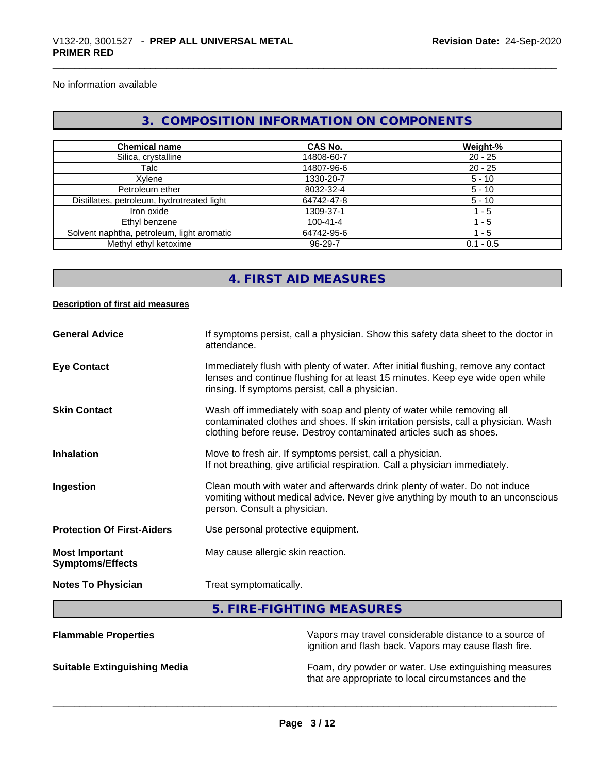No information available

### **3. COMPOSITION INFORMATION ON COMPONENTS**

| <b>Chemical name</b>                       | <b>CAS No.</b> | Weight-%    |
|--------------------------------------------|----------------|-------------|
| Silica, crystalline                        | 14808-60-7     | $20 - 25$   |
| Talc                                       | 14807-96-6     | $20 - 25$   |
| Xvlene                                     | 1330-20-7      | $5 - 10$    |
| Petroleum ether                            | 8032-32-4      | $5 - 10$    |
| Distillates, petroleum, hydrotreated light | 64742-47-8     | $5 - 10$    |
| Iron oxide                                 | 1309-37-1      | $-5$        |
| Ethyl benzene                              | $100 - 41 - 4$ | $-5$        |
| Solvent naphtha, petroleum, light aromatic | 64742-95-6     | 1 - 5       |
| Methyl ethyl ketoxime                      | 96-29-7        | $0.1 - 0.5$ |

## **4. FIRST AID MEASURES**

### **Description of first aid measures**

| <b>General Advice</b>                            | If symptoms persist, call a physician. Show this safety data sheet to the doctor in<br>attendance.                                                                                                                                  |
|--------------------------------------------------|-------------------------------------------------------------------------------------------------------------------------------------------------------------------------------------------------------------------------------------|
| <b>Eye Contact</b>                               | Immediately flush with plenty of water. After initial flushing, remove any contact<br>lenses and continue flushing for at least 15 minutes. Keep eye wide open while<br>rinsing. If symptoms persist, call a physician.             |
| <b>Skin Contact</b>                              | Wash off immediately with soap and plenty of water while removing all<br>contaminated clothes and shoes. If skin irritation persists, call a physician. Wash<br>clothing before reuse. Destroy contaminated articles such as shoes. |
| Inhalation                                       | Move to fresh air. If symptoms persist, call a physician.<br>If not breathing, give artificial respiration. Call a physician immediately.                                                                                           |
| Ingestion                                        | Clean mouth with water and afterwards drink plenty of water. Do not induce<br>vomiting without medical advice. Never give anything by mouth to an unconscious<br>person. Consult a physician.                                       |
| <b>Protection Of First-Aiders</b>                | Use personal protective equipment.                                                                                                                                                                                                  |
| <b>Most Important</b><br><b>Symptoms/Effects</b> | May cause allergic skin reaction.                                                                                                                                                                                                   |
| <b>Notes To Physician</b>                        | Treat symptomatically.                                                                                                                                                                                                              |
|                                                  | 5. FIRE-FIGHTING MEASURES                                                                                                                                                                                                           |
| <b>Flammable Properties</b>                      | Vapors may travel considerable distance to a source of                                                                                                                                                                              |

ignition and flash back. Vapors may cause flash fire.

**Suitable Extinguishing Media** Foam, dry powder or water. Use extinguishing measures that are appropriate to local circumstances and the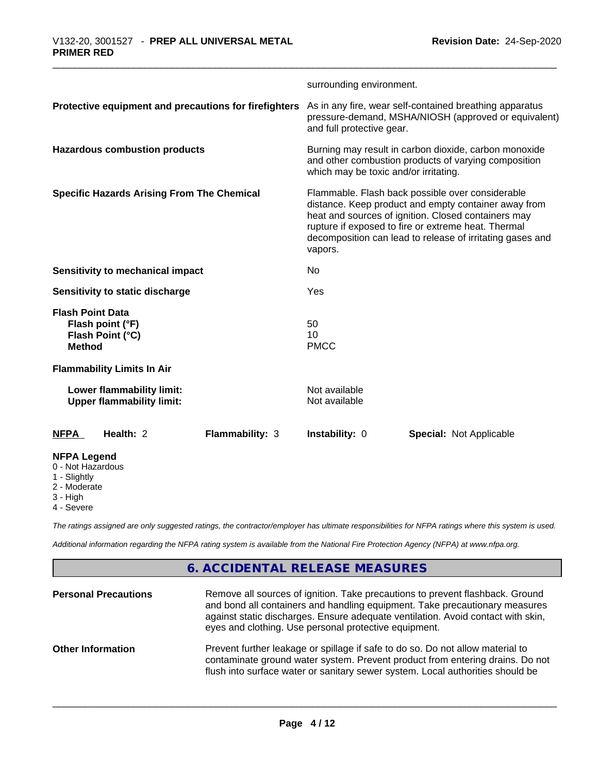|                                                                                  |                 | surrounding environment.                                                                                                                                                                                                                                                                       |                                |  |
|----------------------------------------------------------------------------------|-----------------|------------------------------------------------------------------------------------------------------------------------------------------------------------------------------------------------------------------------------------------------------------------------------------------------|--------------------------------|--|
| Protective equipment and precautions for firefighters                            |                 | As in any fire, wear self-contained breathing apparatus<br>pressure-demand, MSHA/NIOSH (approved or equivalent)<br>and full protective gear.                                                                                                                                                   |                                |  |
| <b>Hazardous combustion products</b>                                             |                 | Burning may result in carbon dioxide, carbon monoxide<br>and other combustion products of varying composition<br>which may be toxic and/or irritating.                                                                                                                                         |                                |  |
| <b>Specific Hazards Arising From The Chemical</b>                                |                 | Flammable. Flash back possible over considerable<br>distance. Keep product and empty container away from<br>heat and sources of ignition. Closed containers may<br>rupture if exposed to fire or extreme heat. Thermal<br>decomposition can lead to release of irritating gases and<br>vapors. |                                |  |
| Sensitivity to mechanical impact                                                 |                 | No                                                                                                                                                                                                                                                                                             |                                |  |
| Sensitivity to static discharge                                                  |                 | Yes                                                                                                                                                                                                                                                                                            |                                |  |
| <b>Flash Point Data</b><br>Flash point (°F)<br>Flash Point (°C)<br><b>Method</b> |                 | 50<br>10<br><b>PMCC</b>                                                                                                                                                                                                                                                                        |                                |  |
| <b>Flammability Limits In Air</b>                                                |                 |                                                                                                                                                                                                                                                                                                |                                |  |
| Lower flammability limit:<br><b>Upper flammability limit:</b>                    |                 | Not available<br>Not available                                                                                                                                                                                                                                                                 |                                |  |
| <b>NFPA</b><br>Health: 2                                                         | Flammability: 3 | Instability: 0                                                                                                                                                                                                                                                                                 | <b>Special: Not Applicable</b> |  |
| <b>NFPA Legend</b><br>0 - Not Hazardous<br>1 - Slightly<br>2 - Moderate          |                 |                                                                                                                                                                                                                                                                                                |                                |  |

2 - Moderate

- 3 High
- 4 Severe

*The ratings assigned are only suggested ratings, the contractor/employer has ultimate responsibilities for NFPA ratings where this system is used.*

*Additional information regarding the NFPA rating system is available from the National Fire Protection Agency (NFPA) at www.nfpa.org.*

## **6. ACCIDENTAL RELEASE MEASURES**

| <b>Personal Precautions</b> | Remove all sources of ignition. Take precautions to prevent flashback. Ground<br>and bond all containers and handling equipment. Take precautionary measures<br>against static discharges. Ensure adequate ventilation. Avoid contact with skin,<br>eyes and clothing. Use personal protective equipment. |
|-----------------------------|-----------------------------------------------------------------------------------------------------------------------------------------------------------------------------------------------------------------------------------------------------------------------------------------------------------|
| <b>Other Information</b>    | Prevent further leakage or spillage if safe to do so. Do not allow material to<br>contaminate ground water system. Prevent product from entering drains. Do not<br>flush into surface water or sanitary sewer system. Local authorities should be                                                         |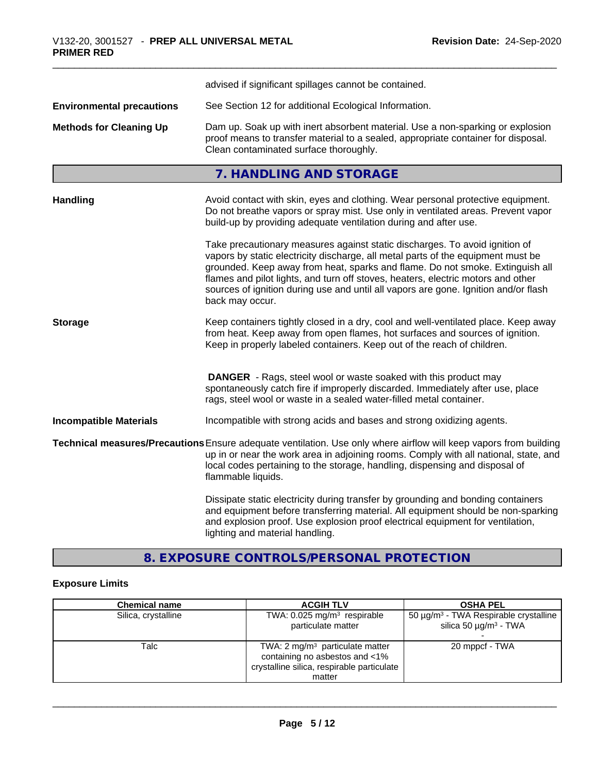|                                  | advised if significant spillages cannot be contained.                                                                                                                                                                                                                                                                                                                                                                                          |  |
|----------------------------------|------------------------------------------------------------------------------------------------------------------------------------------------------------------------------------------------------------------------------------------------------------------------------------------------------------------------------------------------------------------------------------------------------------------------------------------------|--|
| <b>Environmental precautions</b> | See Section 12 for additional Ecological Information.                                                                                                                                                                                                                                                                                                                                                                                          |  |
| <b>Methods for Cleaning Up</b>   | Dam up. Soak up with inert absorbent material. Use a non-sparking or explosion<br>proof means to transfer material to a sealed, appropriate container for disposal.<br>Clean contaminated surface thoroughly.                                                                                                                                                                                                                                  |  |
|                                  | 7. HANDLING AND STORAGE                                                                                                                                                                                                                                                                                                                                                                                                                        |  |
| <b>Handling</b>                  | Avoid contact with skin, eyes and clothing. Wear personal protective equipment.<br>Do not breathe vapors or spray mist. Use only in ventilated areas. Prevent vapor<br>build-up by providing adequate ventilation during and after use.                                                                                                                                                                                                        |  |
|                                  | Take precautionary measures against static discharges. To avoid ignition of<br>vapors by static electricity discharge, all metal parts of the equipment must be<br>grounded. Keep away from heat, sparks and flame. Do not smoke. Extinguish all<br>flames and pilot lights, and turn off stoves, heaters, electric motors and other<br>sources of ignition during use and until all vapors are gone. Ignition and/or flash<br>back may occur. |  |
| <b>Storage</b>                   | Keep containers tightly closed in a dry, cool and well-ventilated place. Keep away<br>from heat. Keep away from open flames, hot surfaces and sources of ignition.<br>Keep in properly labeled containers. Keep out of the reach of children.                                                                                                                                                                                                  |  |
|                                  | <b>DANGER</b> - Rags, steel wool or waste soaked with this product may<br>spontaneously catch fire if improperly discarded. Immediately after use, place<br>rags, steel wool or waste in a sealed water-filled metal container.                                                                                                                                                                                                                |  |
| <b>Incompatible Materials</b>    | Incompatible with strong acids and bases and strong oxidizing agents.                                                                                                                                                                                                                                                                                                                                                                          |  |
|                                  | Technical measures/Precautions Ensure adequate ventilation. Use only where airflow will keep vapors from building<br>up in or near the work area in adjoining rooms. Comply with all national, state, and<br>local codes pertaining to the storage, handling, dispensing and disposal of<br>flammable liquids.                                                                                                                                 |  |
|                                  | Dissipate static electricity during transfer by grounding and bonding containers<br>and equipment before transferring material. All equipment should be non-sparking<br>and explosion proof. Use explosion proof electrical equipment for ventilation,<br>lighting and material handling.                                                                                                                                                      |  |

# **8. EXPOSURE CONTROLS/PERSONAL PROTECTION**

## **Exposure Limits**

| <b>Chemical name</b> | <b>ACGIH TLV</b>                                                             | <b>OSHA PEL</b>                                                                      |
|----------------------|------------------------------------------------------------------------------|--------------------------------------------------------------------------------------|
| Silica, crystalline  | TWA: $0.025$ mg/m <sup>3</sup> respirable<br>particulate matter              | $50 \mu g/m3$ - TWA Respirable crystalline<br>silica 50 $\mu$ g/m <sup>3</sup> - TWA |
| Talc                 | TWA: $2 \text{ mg/m}^3$ particulate matter                                   | 20 mppcf - TWA                                                                       |
|                      | containing no asbestos and <1%<br>crystalline silica, respirable particulate |                                                                                      |
|                      | matter                                                                       |                                                                                      |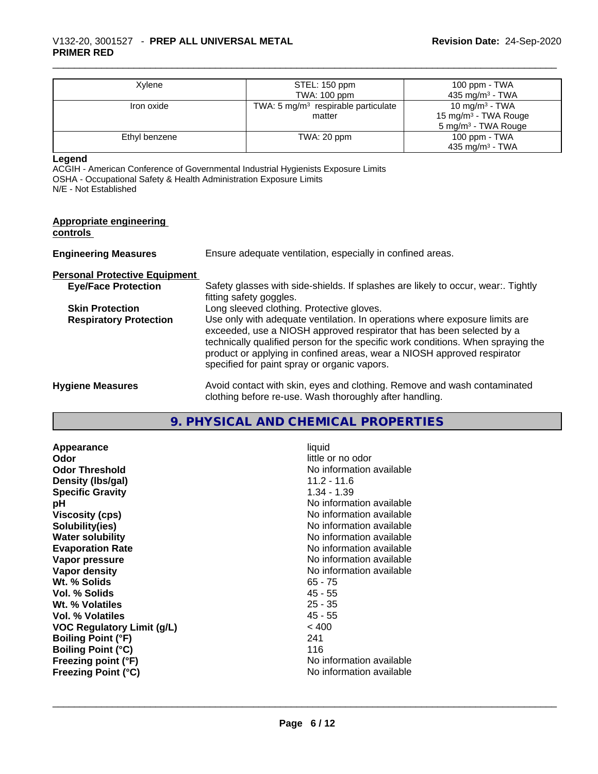| Xylene        | STEL: 150 ppm                         | 100 ppm - TWA                    |
|---------------|---------------------------------------|----------------------------------|
|               | TWA: 100 ppm                          | 435 mg/m $3$ - TWA               |
| Iron oxide    | TWA: 5 $mg/m3$ respirable particulate | 10 mg/m $3$ - TWA                |
|               | matter                                | 15 mg/m <sup>3</sup> - TWA Rouge |
|               |                                       | 5 mg/m <sup>3</sup> - TWA Rouge  |
| Ethyl benzene | TWA: 20 ppm                           | 100 ppm - TWA                    |
|               |                                       | 435 mg/m <sup>3</sup> - TWA      |

### **Legend**

ACGIH - American Conference of Governmental Industrial Hygienists Exposure Limits OSHA - Occupational Safety & Health Administration Exposure Limits N/E - Not Established

| <b>Appropriate engineering</b><br>controls |                                                                                                                                                                                                                                                                                                                                                                     |
|--------------------------------------------|---------------------------------------------------------------------------------------------------------------------------------------------------------------------------------------------------------------------------------------------------------------------------------------------------------------------------------------------------------------------|
| <b>Engineering Measures</b>                | Ensure adequate ventilation, especially in confined areas.                                                                                                                                                                                                                                                                                                          |
| <b>Personal Protective Equipment</b>       |                                                                                                                                                                                                                                                                                                                                                                     |
| <b>Eye/Face Protection</b>                 | Safety glasses with side-shields. If splashes are likely to occur, wear Tightly<br>fitting safety goggles.                                                                                                                                                                                                                                                          |
| <b>Skin Protection</b>                     | Long sleeved clothing. Protective gloves.                                                                                                                                                                                                                                                                                                                           |
| <b>Respiratory Protection</b>              | Use only with adequate ventilation. In operations where exposure limits are<br>exceeded, use a NIOSH approved respirator that has been selected by a<br>technically qualified person for the specific work conditions. When spraying the<br>product or applying in confined areas, wear a NIOSH approved respirator<br>specified for paint spray or organic vapors. |
| <b>Hygiene Measures</b>                    | Avoid contact with skin, eyes and clothing. Remove and wash contaminated<br>clothing before re-use. Wash thoroughly after handling.                                                                                                                                                                                                                                 |

### **9. PHYSICAL AND CHEMICAL PROPERTIES**

**Appearance** liquid **and a limitation of the contract of the contract of the contract of the contract of the contract of the contract of the contract of the contract of the contract of the contract of the contract of the c Odor Threshold** No information available **Density (lbs/gal)** 11.2 - 11.6 **Specific Gravity** 1.34 - 1.39 **pH** No information available **Viscosity (cps)** No information available **Solubility(ies)** No information available **Water solubility**<br> **Evaporation Rate**<br> **Evaporation Rate**<br> **Evaporation Rate Vapor pressure** No information available **Vapor density**<br> **We Solids**<br>
We Solid Wi, % Solids
2019 Wt. % Solids **Vol. % Solids** 45 - 55 **Wt. % Volatiles** 25 - 35 **Vol. % Volatiles** 45 - 55 **VOC Regulatory Limit (g/L)** < 400 **Boiling Point (°F)** 241 **Boiling Point (°C)**<br> **Boiling Point (°F)**<br> **Preezing point (°F)**<br> **Preezing point (°F) Freezing point (°F) Freezing Point (°C)** No information available

little or no odor **No information available**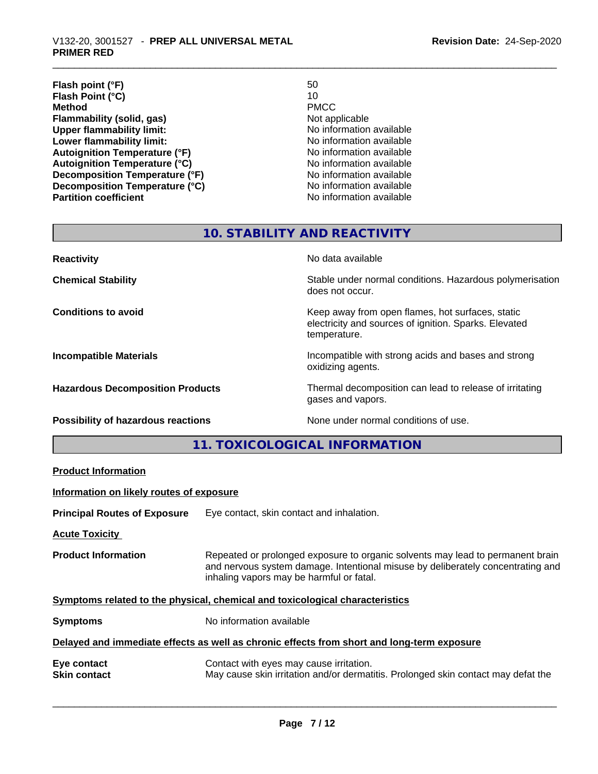| Flash point (°F)                      | 50                       |
|---------------------------------------|--------------------------|
| Flash Point (°C)                      | 10                       |
| <b>Method</b>                         | <b>PMCC</b>              |
| Flammability (solid, gas)             | Not applicable           |
| <b>Upper flammability limit:</b>      | No information available |
| Lower flammability limit:             | No information available |
| <b>Autoignition Temperature (°F)</b>  | No information available |
| <b>Autoignition Temperature (°C)</b>  | No information available |
| <b>Decomposition Temperature (°F)</b> | No information available |
| Decomposition Temperature (°C)        | No information available |
| <b>Partition coefficient</b>          | No information available |

## **10. STABILITY AND REACTIVITY**

| <b>Reactivity</b>                       | No data available                                                                                                         |
|-----------------------------------------|---------------------------------------------------------------------------------------------------------------------------|
| <b>Chemical Stability</b>               | Stable under normal conditions. Hazardous polymerisation<br>does not occur.                                               |
| <b>Conditions to avoid</b>              | Keep away from open flames, hot surfaces, static<br>electricity and sources of ignition. Sparks. Elevated<br>temperature. |
| <b>Incompatible Materials</b>           | Incompatible with strong acids and bases and strong<br>oxidizing agents.                                                  |
| <b>Hazardous Decomposition Products</b> | Thermal decomposition can lead to release of irritating<br>gases and vapors.                                              |
| Possibility of hazardous reactions      | None under normal conditions of use.                                                                                      |

## **11. TOXICOLOGICAL INFORMATION**

| <b>Product Information</b>               |                                                                                                                                                                                                               |
|------------------------------------------|---------------------------------------------------------------------------------------------------------------------------------------------------------------------------------------------------------------|
| Information on likely routes of exposure |                                                                                                                                                                                                               |
| <b>Principal Routes of Exposure</b>      | Eye contact, skin contact and inhalation.                                                                                                                                                                     |
| <b>Acute Toxicity</b>                    |                                                                                                                                                                                                               |
| <b>Product Information</b>               | Repeated or prolonged exposure to organic solvents may lead to permanent brain<br>and nervous system damage. Intentional misuse by deliberately concentrating and<br>inhaling vapors may be harmful or fatal. |
|                                          | Symptoms related to the physical, chemical and toxicological characteristics                                                                                                                                  |
| <b>Symptoms</b>                          | No information available                                                                                                                                                                                      |
|                                          | Delayed and immediate effects as well as chronic effects from short and long-term exposure                                                                                                                    |
| Eye contact<br><b>Skin contact</b>       | Contact with eyes may cause irritation.<br>May cause skin irritation and/or dermatitis. Prolonged skin contact may defat the                                                                                  |
|                                          |                                                                                                                                                                                                               |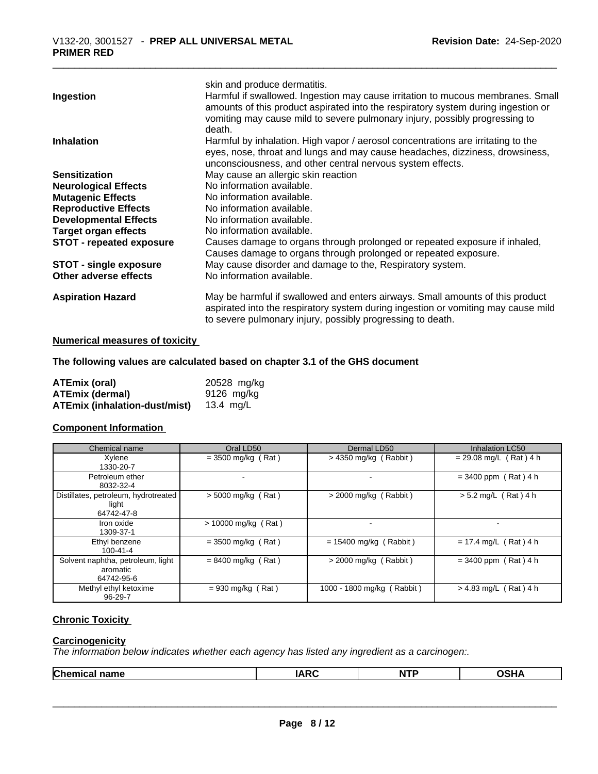|                                 | skin and produce dermatitis.                                                                                                                                                                                                                                  |
|---------------------------------|---------------------------------------------------------------------------------------------------------------------------------------------------------------------------------------------------------------------------------------------------------------|
| Ingestion                       | Harmful if swallowed. Ingestion may cause irritation to mucous membranes. Small<br>amounts of this product aspirated into the respiratory system during ingestion or<br>vomiting may cause mild to severe pulmonary injury, possibly progressing to<br>death. |
| <b>Inhalation</b>               | Harmful by inhalation. High vapor / aerosol concentrations are irritating to the<br>eyes, nose, throat and lungs and may cause headaches, dizziness, drowsiness,<br>unconsciousness, and other central nervous system effects.                                |
| <b>Sensitization</b>            | May cause an allergic skin reaction                                                                                                                                                                                                                           |
| <b>Neurological Effects</b>     | No information available.                                                                                                                                                                                                                                     |
| <b>Mutagenic Effects</b>        | No information available.                                                                                                                                                                                                                                     |
| <b>Reproductive Effects</b>     | No information available.                                                                                                                                                                                                                                     |
| <b>Developmental Effects</b>    | No information available.                                                                                                                                                                                                                                     |
| <b>Target organ effects</b>     | No information available.                                                                                                                                                                                                                                     |
| <b>STOT - repeated exposure</b> | Causes damage to organs through prolonged or repeated exposure if inhaled,<br>Causes damage to organs through prolonged or repeated exposure.                                                                                                                 |
| <b>STOT - single exposure</b>   | May cause disorder and damage to the, Respiratory system.                                                                                                                                                                                                     |
| Other adverse effects           | No information available.                                                                                                                                                                                                                                     |
| <b>Aspiration Hazard</b>        | May be harmful if swallowed and enters airways. Small amounts of this product<br>aspirated into the respiratory system during ingestion or vomiting may cause mild<br>to severe pulmonary injury, possibly progressing to death.                              |

### **Numerical measures of toxicity**

### **The following values are calculated based on chapter 3.1 of the GHS document**

| <b>ATEmix (oral)</b>          | 20528 mg/kg |
|-------------------------------|-------------|
| <b>ATEmix (dermal)</b>        | 9126 mg/ka  |
| ATEmix (inhalation-dust/mist) | 13.4 ma/L   |

#### **Component Information**

| Chemical name                                               | Oral LD50             | Dermal LD50                | Inhalation LC50          |
|-------------------------------------------------------------|-----------------------|----------------------------|--------------------------|
| Xylene<br>1330-20-7                                         | $=$ 3500 mg/kg (Rat)  | $>$ 4350 mg/kg (Rabbit)    | $= 29.08$ mg/L (Rat) 4 h |
| Petroleum ether<br>8032-32-4                                |                       |                            | $= 3400$ ppm (Rat) 4 h   |
| Distillates, petroleum, hydrotreated<br>light<br>64742-47-8 | $>$ 5000 mg/kg (Rat)  | $>$ 2000 mg/kg (Rabbit)    | $> 5.2$ mg/L (Rat) 4 h   |
| Iron oxide<br>1309-37-1                                     | $> 10000$ mg/kg (Rat) |                            |                          |
| Ethyl benzene<br>$100 - 41 - 4$                             | $= 3500$ mg/kg (Rat)  | $= 15400$ mg/kg (Rabbit)   | $= 17.4$ mg/L (Rat) 4 h  |
| Solvent naphtha, petroleum, light<br>aromatic<br>64742-95-6 | $= 8400$ mg/kg (Rat)  | $>$ 2000 mg/kg (Rabbit)    | $= 3400$ ppm (Rat) 4 h   |
| Methyl ethyl ketoxime<br>$96 - 29 - 7$                      | $= 930$ mg/kg (Rat)   | 1000 - 1800 mg/kg (Rabbit) | $> 4.83$ mg/L (Rat) 4 h  |

### **Chronic Toxicity**

### **Carcinogenicity**

*The information below indicateswhether each agency has listed any ingredient as a carcinogen:.*

|  | Chemical<br>name | .<br>$\mathbf{D}$<br>A | <b>1750</b><br>M<br>. | ``<br>1 I F |
|--|------------------|------------------------|-----------------------|-------------|
|--|------------------|------------------------|-----------------------|-------------|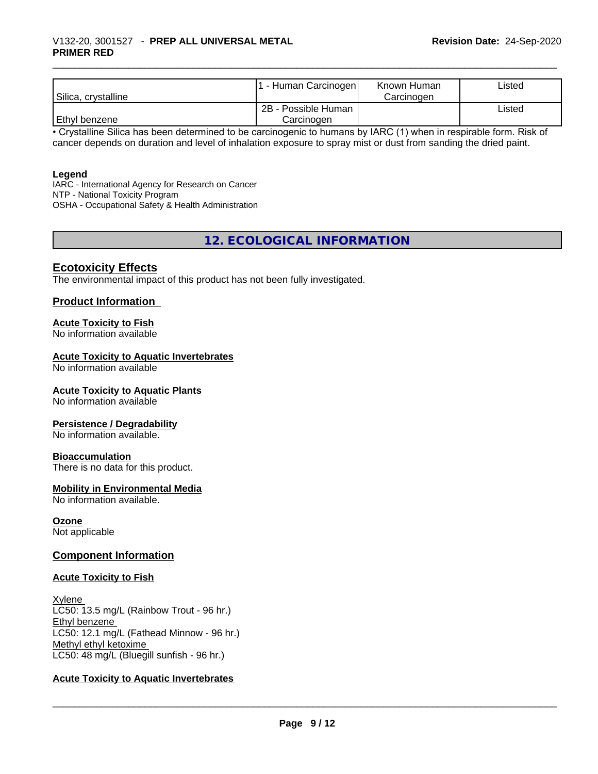# \_\_\_\_\_\_\_\_\_\_\_\_\_\_\_\_\_\_\_\_\_\_\_\_\_\_\_\_\_\_\_\_\_\_\_\_\_\_\_\_\_\_\_\_\_\_\_\_\_\_\_\_\_\_\_\_\_\_\_\_\_\_\_\_\_\_\_\_\_\_\_\_\_\_\_\_\_\_\_\_\_\_\_\_\_\_\_\_\_\_\_\_\_ V132-20, 3001527 - **PREP ALL UNIVERSAL METAL PRIMER RED**

| Silica, crystalline | . - Human Carcinogen              | Known Human<br>Carcinogen | Listed |
|---------------------|-----------------------------------|---------------------------|--------|
| Ethyl benzene       | 2B - Possible Human<br>Carcinoɑen |                           | ∟isted |

• Crystalline Silica has been determined to be carcinogenic to humans by IARC (1) when in respirable form. Risk of cancer depends on duration and level of inhalation exposure to spray mist or dust from sanding the dried paint.

#### **Legend**

IARC - International Agency for Research on Cancer NTP - National Toxicity Program OSHA - Occupational Safety & Health Administration

**12. ECOLOGICAL INFORMATION**

### **Ecotoxicity Effects**

The environmental impact of this product has not been fully investigated.

### **Product Information**

### **Acute Toxicity to Fish**

No information available

### **Acute Toxicity to Aquatic Invertebrates**

No information available

### **Acute Toxicity to Aquatic Plants**

No information available

### **Persistence / Degradability**

No information available.

### **Bioaccumulation**

There is no data for this product.

### **Mobility in Environmental Media**

No information available.

### **Ozone**

Not applicable

### **Component Information**

### **Acute Toxicity to Fish**

**Xylene** LC50: 13.5 mg/L (Rainbow Trout - 96 hr.) Ethyl benzene LC50: 12.1 mg/L (Fathead Minnow - 96 hr.) Methyl ethyl ketoxime LC50: 48 mg/L (Bluegill sunfish - 96 hr.)

### **Acute Toxicity to Aquatic Invertebrates**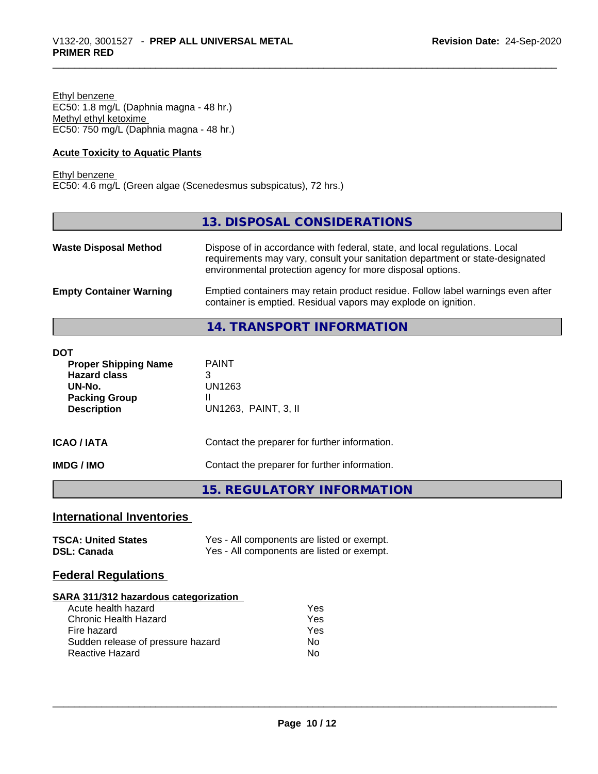Ethyl benzene EC50: 1.8 mg/L (Daphnia magna - 48 hr.) Methyl ethyl ketoxime EC50: 750 mg/L (Daphnia magna - 48 hr.)

### **Acute Toxicity to Aquatic Plants**

Ethyl benzene EC50: 4.6 mg/L (Green algae (Scenedesmus subspicatus), 72 hrs.)

### **13. DISPOSAL CONSIDERATIONS**

| <b>Waste Disposal Method</b>   | Dispose of in accordance with federal, state, and local regulations. Local<br>requirements may vary, consult your sanitation department or state-designated<br>environmental protection agency for more disposal options. |
|--------------------------------|---------------------------------------------------------------------------------------------------------------------------------------------------------------------------------------------------------------------------|
| <b>Empty Container Warning</b> | Emptied containers may retain product residue. Follow label warnings even after<br>container is emptied. Residual vapors may explode on ignition.                                                                         |

## **14. TRANSPORT INFORMATION**

| DOT<br><b>Proper Shipping Name</b><br><b>Hazard class</b><br>UN-No.<br><b>Packing Group</b><br><b>Description</b> | <b>PAINT</b><br>3<br>UN1263<br>Ш<br>UN1263, PAINT, 3, II |
|-------------------------------------------------------------------------------------------------------------------|----------------------------------------------------------|
| <b>ICAO/IATA</b>                                                                                                  | Contact the preparer for further information.            |
| <b>IMDG/IMO</b>                                                                                                   | Contact the preparer for further information.            |

### **15. REGULATORY INFORMATION**

## **International Inventories**

| <b>TSCA: United States</b> | Yes - All components are listed or exempt. |
|----------------------------|--------------------------------------------|
| <b>DSL: Canada</b>         | Yes - All components are listed or exempt. |

### **Federal Regulations**

### **SARA 311/312 hazardous categorization**

| Acute health hazard               | Yes |
|-----------------------------------|-----|
| Chronic Health Hazard             | Yes |
| Fire hazard                       | Yes |
| Sudden release of pressure hazard | Nο  |
| Reactive Hazard                   | N٥  |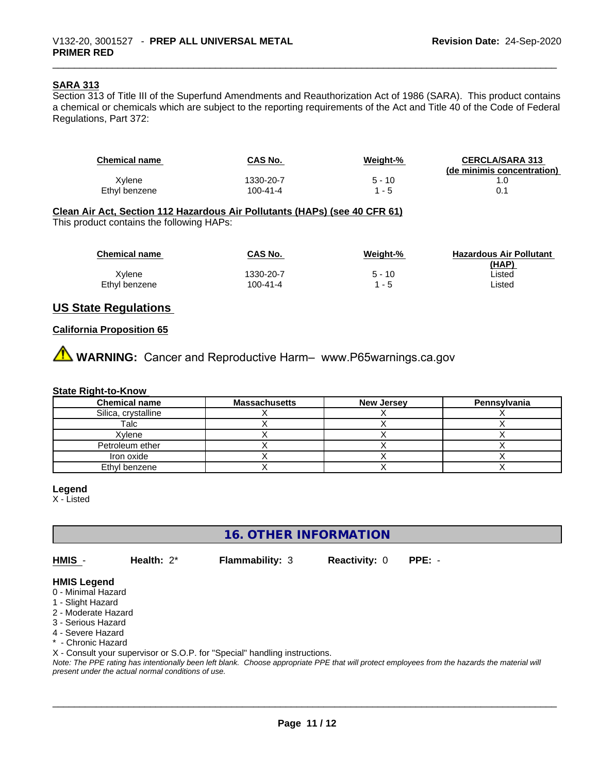### **SARA 313**

Section 313 of Title III of the Superfund Amendments and Reauthorization Act of 1986 (SARA). This product contains a chemical or chemicals which are subject to the reporting requirements of the Act and Title 40 of the Code of Federal Regulations, Part 372:

| <b>Chemical name</b> | <b>CAS No.</b> | Weight-% | <b>CERCLA/SARA 313</b><br>(de minimis concentration) |
|----------------------|----------------|----------|------------------------------------------------------|
| Xvlene               | 1330-20-7      | $5 - 10$ |                                                      |
| Ethyl benzene        | 100-41-4       | - 5      |                                                      |

#### **Clean Air Act,Section 112 Hazardous Air Pollutants (HAPs) (see 40 CFR 61)**

This product contains the following HAPs:

| <b>Chemical name</b> | CAS No.   | Weight-% | <b>Hazardous Air Pollutant</b> |
|----------------------|-----------|----------|--------------------------------|
|                      |           |          | (HAP)                          |
| Xvlene               | 1330-20-7 | 5 - 10   | ∟isted                         |
| Ethyl benzene        | 100-41-4  | l - 5    | _isted                         |

### **US State Regulations**

### **California Proposition 65**

**A** WARNING: Cancer and Reproductive Harm– www.P65warnings.ca.gov

#### **State Right-to-Know**

| <b>Chemical name</b> | <b>Massachusetts</b> | <b>New Jersey</b> | Pennsylvania |
|----------------------|----------------------|-------------------|--------------|
| Silica, crystalline  |                      |                   |              |
| Talc                 |                      |                   |              |
| Xylene               |                      |                   |              |
| Petroleum ether      |                      |                   |              |
| Iron oxide           |                      |                   |              |
| Ethyl benzene        |                      |                   |              |

#### **Legend**

X - Listed

**16. OTHER INFORMATION**

**HMIS** - **Health:** 2\* **Flammability:** 3 **Reactivity:** 0 **PPE:** -

 $\overline{\phantom{a}}$  ,  $\overline{\phantom{a}}$  ,  $\overline{\phantom{a}}$  ,  $\overline{\phantom{a}}$  ,  $\overline{\phantom{a}}$  ,  $\overline{\phantom{a}}$  ,  $\overline{\phantom{a}}$  ,  $\overline{\phantom{a}}$  ,  $\overline{\phantom{a}}$  ,  $\overline{\phantom{a}}$  ,  $\overline{\phantom{a}}$  ,  $\overline{\phantom{a}}$  ,  $\overline{\phantom{a}}$  ,  $\overline{\phantom{a}}$  ,  $\overline{\phantom{a}}$  ,  $\overline{\phantom{a}}$ 

### **HMIS Legend**

- 0 Minimal Hazard
- 1 Slight Hazard
- 2 Moderate Hazard
- 3 Serious Hazard
- 4 Severe Hazard
- \* Chronic Hazard

X - Consult your supervisor or S.O.P. for "Special" handling instructions.

*Note: The PPE rating has intentionally been left blank. Choose appropriate PPE that will protect employees from the hazards the material will present under the actual normal conditions of use.*